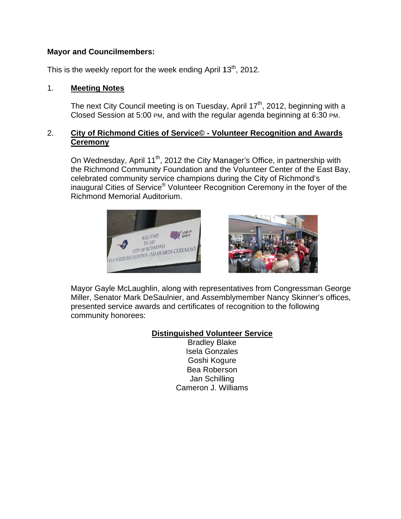### **Mayor and Councilmembers:**

This is the weekly report for the week ending April  $13<sup>th</sup>$ , 2012.

#### $1.$ **Meeting Notes**

The next City Council meeting is on Tuesday, April 17<sup>th</sup>, 2012, beginning with a Closed Session at 5:00 PM, and with the regular agenda beginning at 6:30 PM.

### $2.$ City of Richmond Cities of Service© - Volunteer Recognition and Awards **Ceremony**

On Wednesday, April 11<sup>th</sup>, 2012 the City Manager's Office, in partnership with the Richmond Community Foundation and the Volunteer Center of the East Bay, celebrated community service champions during the City of Richmond's inaugural Cities of Service<sup>®</sup> Volunteer Recognition Ceremony in the fover of the **Richmond Memorial Auditorium.** 





Mayor Gayle McLaughlin, along with representatives from Congressman George Miller, Senator Mark DeSaulnier, and Assemblymember Nancy Skinner's offices, presented service awards and certificates of recognition to the following community honorees:

# **Distinguished Volunteer Service**

**Bradley Blake Isela Gonzales** Goshi Kogure Bea Roberson Jan Schilling Cameron J. Williams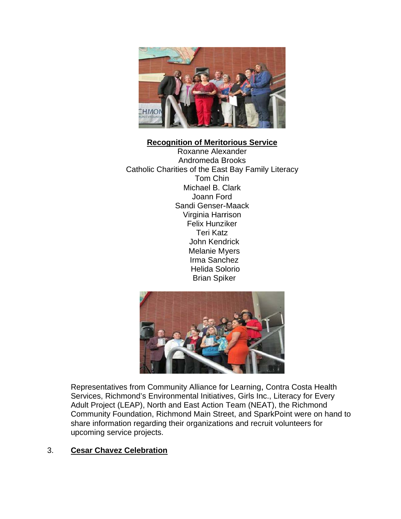

## **Recognition of Meritorious Service**

Roxanne Alexander Andromeda Brooks Catholic Charities of the East Bay Family Literacy Tom Chin Michael B. Clark Joann Ford Sandi Genser-Maack Virginia Harrison **Felix Hunziker Teri Katz** John Kendrick **Melanie Myers** Irma Sanchez **Helida Solorio Brian Spiker** 



Representatives from Community Alliance for Learning, Contra Costa Health Services, Richmond's Environmental Initiatives, Girls Inc., Literacy for Every Adult Project (LEAP), North and East Action Team (NEAT), the Richmond Community Foundation, Richmond Main Street, and SparkPoint were on hand to share information regarding their organizations and recruit volunteers for upcoming service projects.

#### 3. **Cesar Chavez Celebration**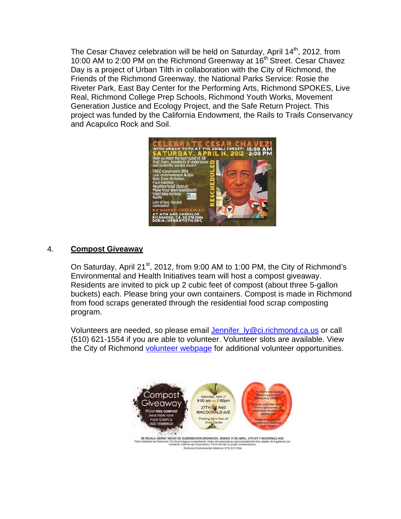The Cesar Chavez celebration will be held on Saturday, April 14<sup>th</sup>, 2012, from The Cesar Chavez celebration will be held on Saturday, April 14<sup>th</sup>, 2012, from<br>10:00 AM to 2:00 PM on the Richmond Greenway at 16<sup>th</sup> Street. Cesar Chavez Day is a project of Urban Tilth in collaboration with the City of Richmond, the Friends of the Richmond Greenway, the National Parks Service: Rosie the Riveter Park, East Bay Center for the Performing Arts, Richmond SPOKES, Live Real, Richmond College Prep Schools, Richmond Youth Works, Movement Generation Justice and Ecology Project, and the Safe Return Project. This project was funded by the California Endowment, the Rails to Trails Conservancy and Acapulco Rock and Soil.



#### 4. **C Compost G Giveaway**

On Saturday, April 21<sup>st</sup>, 2012, from 9:00 AM to 1:00 PM, the City of Richmond's Environmental and Health Initiatives team will host a compost giveaway. Residents are invited to pick up 2 cubic feet of compost (about three 5-gallon Residents are invited to pick up 2 cubic feet of compost (about three 5-gallon<br>buckets) each. Please bring your own containers. Compost is made in Richmond from food scraps generated through the residential food scrap composting p rogram.

Volunteers are needed, so please email Jennifer\_ly@ci.richmond.ca.us or call (510) 621-1554 if you are able to volunteer. Volunteer slots are available. View the City of Richmond **volunteer webpage** for additional volunteer opportunities.

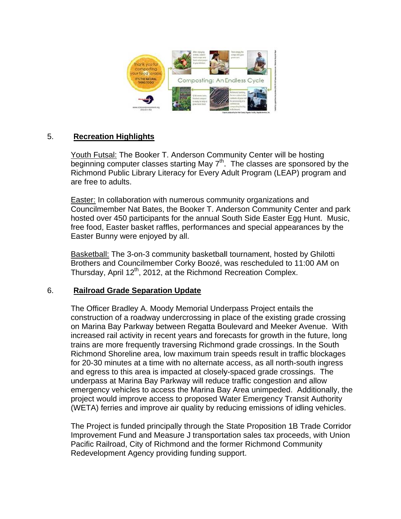

#### 5. **Recreation Highlights**

Youth Futsal: The Booker T. Anderson Community Center will be hosting beginning computer classes starting May  $7<sup>th</sup>$ . The classes are sponsored by the Richmond Public Library Literacy for Every Adult Program (LEAP) program and are free to adults.

Easter: In collaboration with numerous community organizations and Councilmember Nat Bates, the Booker T. Anderson Community Center and park hosted over 450 participants for the annual South Side Easter Egg Hunt. Music. free food, Easter basket raffles, performances and special appearances by the Easter Bunny were enjoyed by all.

Basketball: The 3-on-3 community basketball tournament, hosted by Ghilotti Brothers and Councilmember Corky Boozé, was rescheduled to 11:00 AM on Thursday, April 12<sup>th</sup>, 2012, at the Richmond Recreation Complex.

#### 6. **Railroad Grade Separation Update**

The Officer Bradley A. Moody Memorial Underpass Project entails the construction of a roadway undercrossing in place of the existing grade crossing on Marina Bay Parkway between Regatta Boulevard and Meeker Avenue. With increased rail activity in recent years and forecasts for growth in the future, long trains are more frequently traversing Richmond grade crossings. In the South Richmond Shoreline area, low maximum train speeds result in traffic blockages for 20-30 minutes at a time with no alternate access, as all north-south ingress and egress to this area is impacted at closely-spaced grade crossings. The underpass at Marina Bay Parkway will reduce traffic congestion and allow emergency vehicles to access the Marina Bay Area unimpeded. Additionally, the project would improve access to proposed Water Emergency Transit Authority (WETA) ferries and improve air quality by reducing emissions of idling vehicles.

The Project is funded principally through the State Proposition 1B Trade Corridor Improvement Fund and Measure J transportation sales tax proceeds, with Union Pacific Railroad, City of Richmond and the former Richmond Community Redevelopment Agency providing funding support.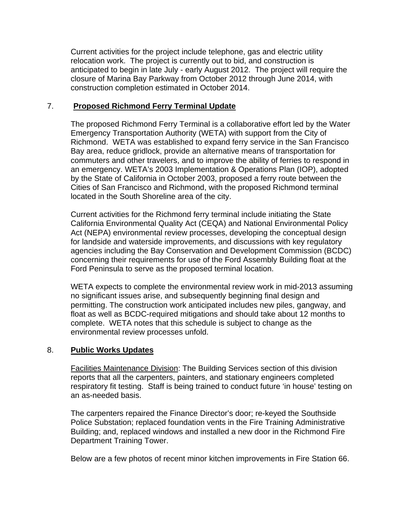Current activities for the project include telephone, gas and electric utility relocation work. The project is currently out to bid, and construction is anticipated to begin in late July - early August 2012. The project will require the closure of Marina Bay Parkway from October 2012 through June 2014, with construction completion estimated in October 2014.

### 7. **Proposed Richmond Ferry Terminal Update**

The proposed Richmond Ferry Terminal is a collaborative effort led by the Water Emergency Transportation Authority (WETA) with support from the City of Richmond. WETA was established to expand ferry service in the San Francisco Bay area, reduce gridlock, provide an alternative means of transportation for commuters and other travelers, and to improve the ability of ferries to respond in an emergency. WETA's 2003 Implementation & Operations Plan (IOP), adopted by the State of California in October 2003, proposed a ferry route between the Cities of San Francisco and Richmond, with the proposed Richmond terminal located in the South Shoreline area of the city.

Current activities for the Richmond ferry terminal include initiating the State California Environmental Quality Act (CEQA) and National Environmental Policy Act (NEPA) environmental review processes, developing the conceptual design for landside and waterside improvements, and discussions with key regulatory agencies including the Bay Conservation and Development Commission (BCDC) concerning their requirements for use of the Ford Assembly Building float at the Ford Peninsula to serve as the proposed terminal location.

WETA expects to complete the environmental review work in mid-2013 assuming no significant issues arise, and subsequently beginning final design and permitting. The construction work anticipated includes new piles, gangway, and float as well as BCDC-required mitigations and should take about 12 months to complete. WETA notes that this schedule is subject to change as the environmental review processes unfold.

### 8. **Public Works Updates**

Facilities Maintenance Division: The Building Services section of this division reports that all the carpenters, painters, and stationary engineers completed respiratory fit testing. Staff is being trained to conduct future 'in house' testing on an as-needed basis.

The carpenters repaired the Finance Director's door; re-keyed the Southside Police Substation; replaced foundation vents in the Fire Training Administrative Building; and, replaced windows and installed a new door in the Richmond Fire Department Training Tower.

Below are a few photos of recent minor kitchen improvements in Fire Station 66.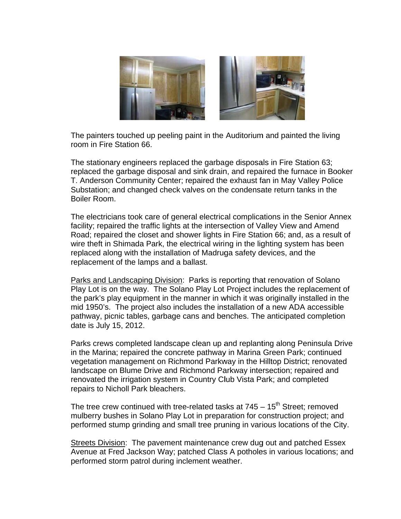

The painters touched up peeling paint in the Auditorium and painted the living room in Fire Station 66.

The stationary engineers replaced the garbage disposals in Fire Station 63; replaced the garbage disposal and sink drain, and repaired the furnace in Booker T. Anderson Community Center; repaired the exhaust fan in May Valley Police Substation; and changed check valves on the condensate return tanks in the Boiler Room.

The electricians took care of general electrical complications in the Senior Annex facility; repaired the traffic lights at the intersection of Valley View and Amend Road; repaired the closet and shower lights in Fire Station 66; and, as a result of wire theft in Shimada Park, the electrical wiring in the lighting system has been replaced along with the installation of Madruga safety devices, and the replacement of the lamps and a ballast.

Parks and Landscaping Division: Parks is reporting that renovation of Solano Play Lot is on the way. The Solano Play Lot Project includes the replacement of the park's play equipment in the manner in which it was originally installed in the mid 1950's. The project also includes the installation of a new ADA accessible pathway, picnic tables, garbage cans and benches. The anticipated completion date is July 15, 2012.

Parks crews completed landscape clean up and replanting along Peninsula Drive in the Marina; repaired the concrete pathway in Marina Green Park; continued vegetation management on Richmond Parkway in the Hilltop District; renovated landscape on Blume Drive and Richmond Parkway intersection; repaired and renovated the irrigation system in Country Club Vista Park; and completed repairs to Nicholl Park bleachers.

The tree crew continued with tree-related tasks at  $745 - 15$ <sup>th</sup> Street; removed mulberry bushes in Solano Play Lot in preparation for construction project; and performed stump grinding and small tree pruning in various locations of the City.

Streets Division: The pavement maintenance crew dug out and patched Essex Avenue at Fred Jackson Way; patched Class A potholes in various locations; and performed storm patrol during inclement weather.